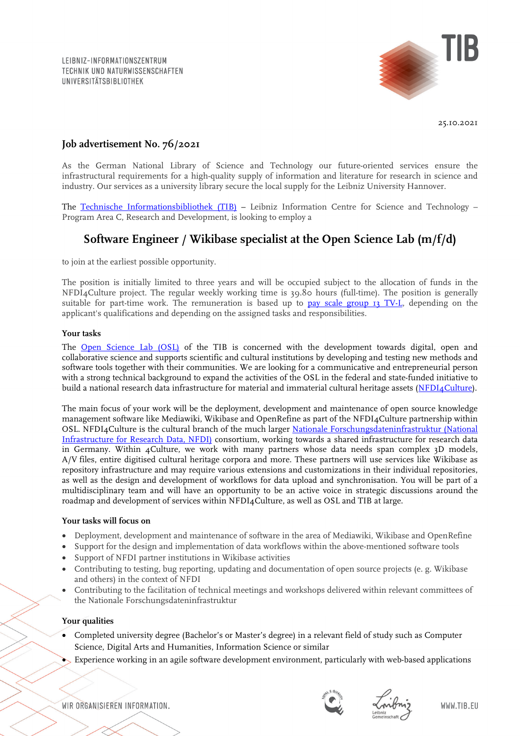

25.10.2021

## **Job advertisement No. 76/2021**

As the German National Library of Science and Technology our future-oriented services ensure the infrastructural requirements for a high-quality supply of information and literature for research in science and industry. Our services as a university library secure the local supply for the Leibniz University Hannover.

The [Technische Informationsbibliothek \(TIB\)](https://www.tib.eu/en/) - Leibniz Information Centre for Science and Technology -Program Area C, Research and Development, is looking to employ a

# **Software Engineer / Wikibase specialist at the Open Science Lab (m/f/d)**

to join at the earliest possible opportunity.

The position is initially limited to three years and will be occupied subject to the allocation of funds in the NFDI4Culture project. The regular weekly working time is 39.80 hours (full-time). The position is generally suitable for part-time work. The remuneration is based up to [pay scale group 13 TV-L,](https://oeffentlicher-dienst.info/c/t/rechner/tv-l/west?id=tv-l-2021&matrix=1) depending on the applicant's qualifications and depending on the assigned tasks and responsibilities.

#### **Your tasks**

The [Open Science Lab \(OSL\)](https://www.tib.eu/en/research-development/research-groups-and-labs/open-science) of the TIB is concerned with the development towards digital, open and collaborative science and supports scientific and cultural institutions by developing and testing new methods and software tools together with their communities. We are looking for a communicative and entrepreneurial person with a strong technical background to expand the activities of the OSL in the federal and state-funded initiative to build a national research data infrastructure for material and immaterial cultural heritage assets [\(NFDI4Culture\)](https://nfdi4culture.de/).

The main focus of your work will be the deployment, development and maintenance of open source knowledge management software like Mediawiki, Wikibase and OpenRefine as part of the NFDI4Culture partnership within OSL. NFDI4Culture is the cultural branch of the much larger [Nationale Forschungsdateninfrastruktur \(National](https://www.nfdi.de/en-gb)  [Infrastructure for Research Data, NFDI\)](https://www.nfdi.de/en-gb) consortium, working towards a shared infrastructure for research data in Germany. Within 4Culture, we work with many partners whose data needs span complex 3D models, A/V files, entire digitised cultural heritage corpora and more. These partners will use services like Wikibase as repository infrastructure and may require various extensions and customizations in their individual repositories, as well as the design and development of workflows for data upload and synchronisation. You will be part of a multidisciplinary team and will have an opportunity to be an active voice in strategic discussions around the roadmap and development of services within NFDI4Culture, as well as OSL and TIB at large.

#### **Your tasks will focus on**

- Deployment, development and maintenance of software in the area of Mediawiki, Wikibase and OpenRefine
- Support for the design and implementation of data workflows within the above-mentioned software tools
- Support of NFDI partner institutions in Wikibase activities
- Contributing to testing, bug reporting, updating and documentation of open source projects (e. g. Wikibase and others) in the context of NFDI
- Contributing to the facilitation of technical meetings and workshops delivered within relevant committees of the Nationale Forschungsdateninfrastruktur

#### **Your qualities**

- Completed university degree (Bachelor's or Master's degree) in a relevant field of study such as Computer Science, Digital Arts and Humanities, Information Science or similar
- Experience working in an agile software development environment, particularly with web-based applications

WIR ORGANISIEREN INFORMATION.



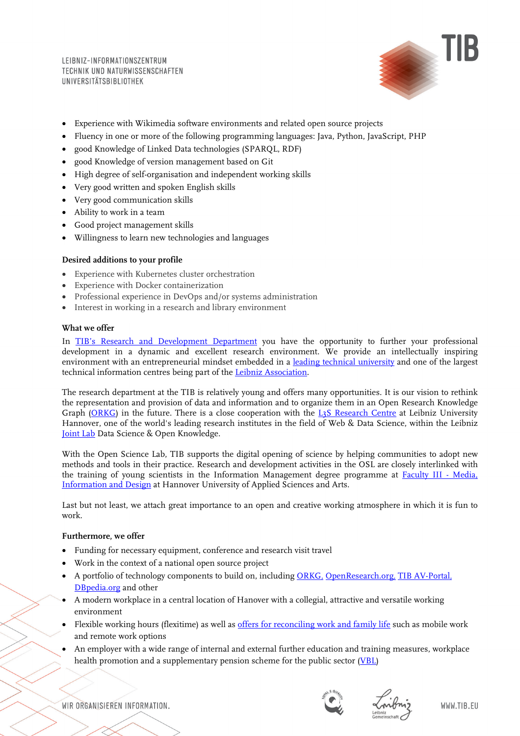LEIBNIZ-INFORMATIONSZENTRUM TECHNIK UND NATURWISSENSCHAFTEN **UNIVERSITÄTSBIBLIOTHEK** 



- Experience with Wikimedia software environments and related open source projects
- Fluency in one or more of the following programming languages: Java, Python, JavaScript, PHP
- good Knowledge of Linked Data technologies (SPARQL, RDF)
- good Knowledge of version management based on Git
- High degree of self-organisation and independent working skills
- Very good written and spoken English skills
- Very good communication skills
- Ability to work in a team
- Good project management skills
- Willingness to learn new technologies and languages

#### **Desired additions to your profile**

- Experience with Kubernetes cluster orchestration
- Experience with Docker containerization
- Professional experience in DevOps and/or systems administration
- Interest in working in a research and library environment

### **What we offer**

In [TIB's Research and Development Department](https://www.tib.eu/en/research-development/) you have the opportunity to further your professional development in a dynamic and excellent research environment. We provide an intellectually inspiring environment with an entrepreneurial mindset embedded in a [leading technical university](https://www.tu9.de/en/) and one of the largest technical information centres being part of the [Leibniz Association.](https://www.leibniz-gemeinschaft.de/en/)

The research department at the TIB is relatively young and offers many opportunities. It is our vision to rethink the representation and provision of data and information and to organize them in an Open Research Knowledge Graph [\(ORKG\)](https://projects.tib.eu/orkg/) in the future. There is a close cooperation with the [L3S Research Centre](https://www.l3s.de/en) at Leibniz University Hannover, one of the world's leading research institutes in the field of Web & Data Science, within the Leibniz [Joint Lab](https://www.tib.eu/en/research-development/joint-lab) Data Science & Open Knowledge.

With the Open Science Lab, TIB supports the digital opening of science by helping communities to adopt new methods and tools in their practice. Research and development activities in the OSL are closely interlinked with the training of young scientists in the Information Management degree programme at [Faculty III -](https://f3.hs-hannover.de/) Media, [Information and Design](https://f3.hs-hannover.de/) at Hannover University of Applied Sciences and Arts.

Last but not least, we attach great importance to an open and creative working atmosphere in which it is fun to work.

#### **Furthermore, we offer**

- Funding for necessary equipment, conference and research visit travel
- Work in the context of a national open source project
- A portfolio of technology components to build on, including [ORKG,](https://projects.tib.eu/orkg/) [OpenResearch.org,](https://www.openresearch.org/wiki/Main_Page) [TIB AV-Portal,](https://av.tib.eu/) [DBpedia.org](https://wiki.dbpedia.org/) and other
- A modern workplace in a central location of Hanover with a collegial, attractive and versatile working environment
- Flexible working hours (flexitime) as well as [offers for reconciling work and family life](https://www.tib.eu/en/tib/careers-and-apprenticeships/equal-opportunities/) such as mobile work and remote work options
- An employer with a wide range of internal and external further education and training measures, workplace health promotion and a supplementary pension scheme for the public sector [\(VBL\)](https://www.vbl.de/de?t=/VBL/english&i=1113979957474&l=0&e=UTF-8&ParentID=1228245487465)

WIR ORGANISIEREN INFORMATION.